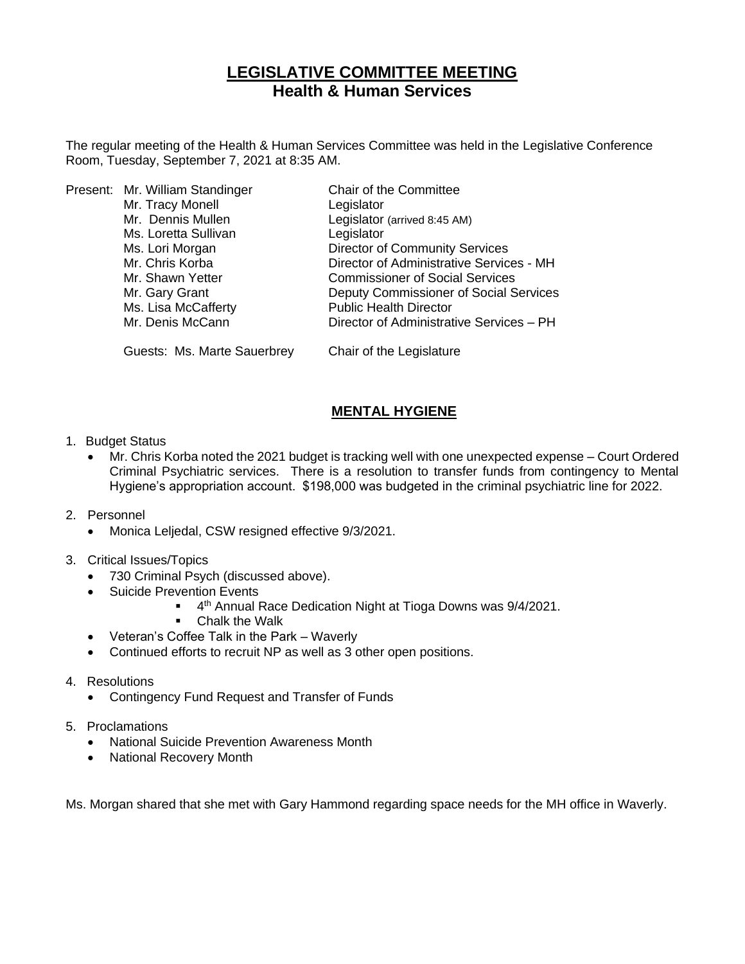# **LEGISLATIVE COMMITTEE MEETING Health & Human Services**

The regular meeting of the Health & Human Services Committee was held in the Legislative Conference Room, Tuesday, September 7, 2021 at 8:35 AM.

|  | Present: Mr. William Standinger | Chair of the Committee                   |
|--|---------------------------------|------------------------------------------|
|  | Mr. Tracy Monell                | Legislator                               |
|  | Mr. Dennis Mullen               | Legislator (arrived 8:45 AM)             |
|  | Ms. Loretta Sullivan            | Legislator                               |
|  | Ms. Lori Morgan                 | <b>Director of Community Services</b>    |
|  | Mr. Chris Korba                 | Director of Administrative Services - MH |
|  | Mr. Shawn Yetter                | <b>Commissioner of Social Services</b>   |
|  | Mr. Gary Grant                  | Deputy Commissioner of Social Services   |
|  | Ms. Lisa McCafferty             | <b>Public Health Director</b>            |
|  | Mr. Denis McCann                | Director of Administrative Services - PH |
|  |                                 |                                          |

Guests: Ms. Marte Sauerbrey Chair of the Legislature

## **MENTAL HYGIENE**

- 1. Budget Status
	- Mr. Chris Korba noted the 2021 budget is tracking well with one unexpected expense Court Ordered Criminal Psychiatric services. There is a resolution to transfer funds from contingency to Mental Hygiene's appropriation account. \$198,000 was budgeted in the criminal psychiatric line for 2022.
- 2. Personnel
	- Monica Leljedal, CSW resigned effective 9/3/2021.
- 3. Critical Issues/Topics
	- 730 Criminal Psych (discussed above).
	- Suicide Prevention Events
		- **<sup>■</sup>** 4<sup>th</sup> Annual Race Dedication Night at Tioga Downs was 9/4/2021.
		- Chalk the Walk
	- Veteran's Coffee Talk in the Park Waverly
	- Continued efforts to recruit NP as well as 3 other open positions.
- 4. Resolutions
	- Contingency Fund Request and Transfer of Funds
- 5. Proclamations
	- National Suicide Prevention Awareness Month
	- National Recovery Month

Ms. Morgan shared that she met with Gary Hammond regarding space needs for the MH office in Waverly.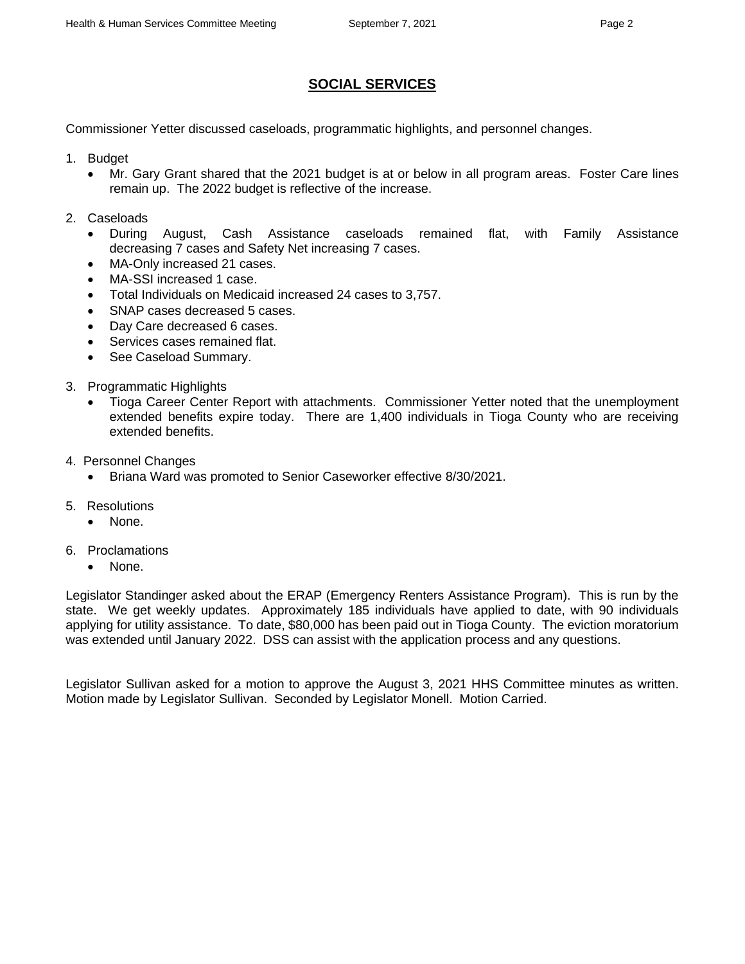### **SOCIAL SERVICES**

Commissioner Yetter discussed caseloads, programmatic highlights, and personnel changes.

- 1. Budget
	- Mr. Gary Grant shared that the 2021 budget is at or below in all program areas. Foster Care lines remain up. The 2022 budget is reflective of the increase.
- 2. Caseloads
	- During August, Cash Assistance caseloads remained flat, with Family Assistance decreasing 7 cases and Safety Net increasing 7 cases.
	- MA-Only increased 21 cases.
	- MA-SSI increased 1 case.
	- Total Individuals on Medicaid increased 24 cases to 3,757.
	- SNAP cases decreased 5 cases.
	- Day Care decreased 6 cases.
	- Services cases remained flat.
	- See Caseload Summary.
- 3. Programmatic Highlights
	- Tioga Career Center Report with attachments. Commissioner Yetter noted that the unemployment extended benefits expire today. There are 1,400 individuals in Tioga County who are receiving extended benefits.
- 4. Personnel Changes
	- Briana Ward was promoted to Senior Caseworker effective 8/30/2021.
- 5. Resolutions
	- None.
- 6. Proclamations
	- None.

Legislator Standinger asked about the ERAP (Emergency Renters Assistance Program). This is run by the state. We get weekly updates. Approximately 185 individuals have applied to date, with 90 individuals applying for utility assistance. To date, \$80,000 has been paid out in Tioga County. The eviction moratorium was extended until January 2022. DSS can assist with the application process and any questions.

Legislator Sullivan asked for a motion to approve the August 3, 2021 HHS Committee minutes as written. Motion made by Legislator Sullivan. Seconded by Legislator Monell. Motion Carried.